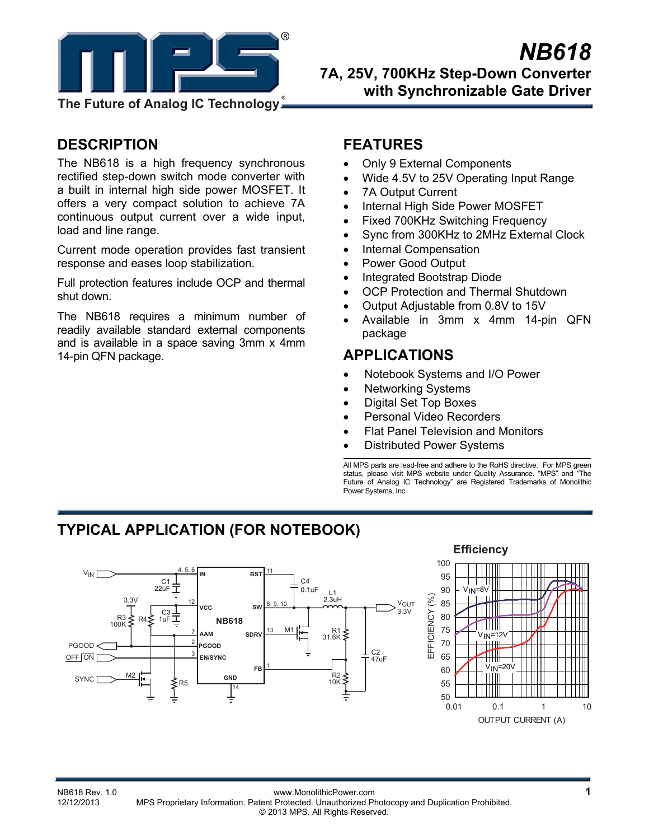

**DESCRIPTION** 

The NB618 is a high frequency synchronous rectified step-down switch mode converter with a built in internal high side power MOSFET. It offers a very compact solution to achieve 7A continuous output current over a wide input, load and line range.

Current mode operation provides fast transient response and eases loop stabilization.

Full protection features include OCP and thermal shut down.

The NB618 requires a minimum number of readily available standard external components and is available in a space saving 3mm x 4mm 14-pin QFN package.

# **FEATURES**

- Only 9 External Components
- Wide 4.5V to 25V Operating Input Range
- 7A Output Current
- Internal High Side Power MOSFET
- Fixed 700KHz Switching Frequency
- Sync from 300KHz to 2MHz External Clock
- Internal Compensation
- Power Good Output
- Integrated Bootstrap Diode
- OCP Protection and Thermal Shutdown
- Output Adjustable from 0.8V to 15V
- Available in 3mm x 4mm 14-pin QFN package

# **APPLICATIONS**

- Notebook Systems and I/O Power
- Networking Systems
- Digital Set Top Boxes
- Personal Video Recorders
- Flat Panel Television and Monitors

100

• Distributed Power Systems

All MPS parts are lead-free and adhere to the RoHS directive. For MPS green status, please visit MPS website under Quality Assurance. "MPS" and "The Future of Analog IC Technology" are Registered Trademarks of Monolithic Power Systems, Inc.

# **TYPICAL APPLICATION (FOR NOTEBOOK)**



# **Efficiency**┯╈╈

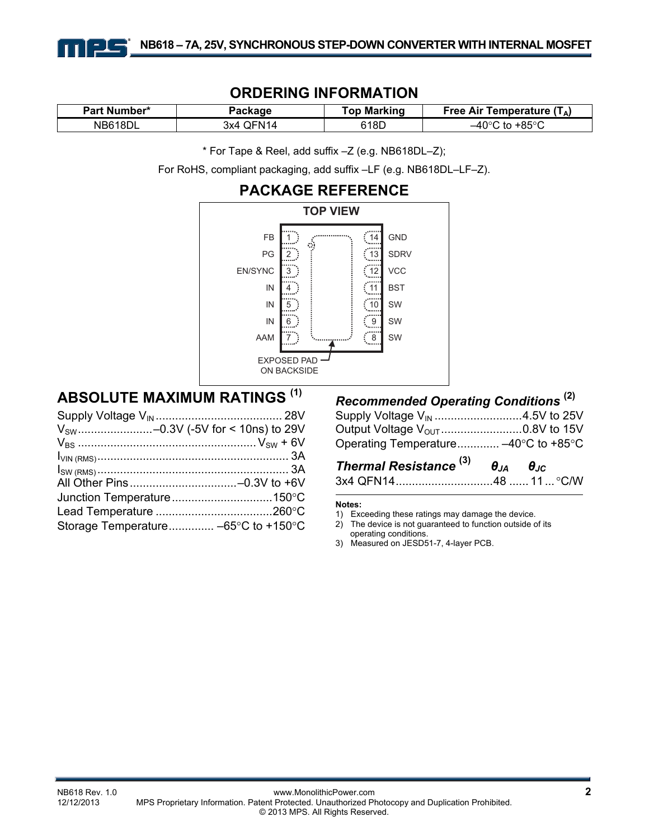

# **ORDERING INFORMATION**

| Part Number* | Packaqe       | <b>Top Marking</b> | Temperature (TA)<br>Free Air |
|--------------|---------------|--------------------|------------------------------|
| NB618DL      | QFN14<br>3x4. | 618D               | . +85°ി<br>–40°ി<br>to       |

\* For Tape & Reel, add suffix –Z (e.g. NB618DL–Z);

For RoHS, compliant packaging, add suffix –LF (e.g. NB618DL–LF–Z).



# **ABSOLUTE MAXIMUM RATINGS (1)**

| $V_{SW}$ -0.3V (-5V for < 10ns) to 29V |
|----------------------------------------|
|                                        |
|                                        |
|                                        |
|                                        |
|                                        |
|                                        |
|                                        |
|                                        |

# *Recommended Operating Conditions* **(2)**

| Operating Temperature -40°C to +85°C |  |
|--------------------------------------|--|

| Thermal Resistance <sup>(3)</sup> | $\theta_{JA}$ $\theta_{JC}$ |  |
|-----------------------------------|-----------------------------|--|
|                                   |                             |  |

#### **Notes:**

- 1) Exceeding these ratings may damage the device.
- 2) The device is not guaranteed to function outside of its operating conditions.
- 3) Measured on JESD51-7, 4-layer PCB.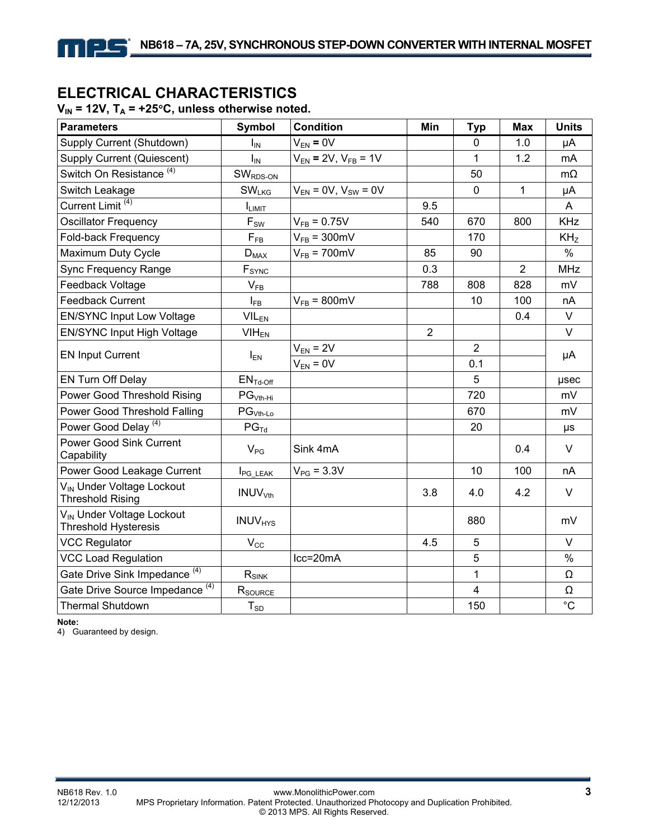# **ELECTRICAL CHARACTERISTICS**

### $V_{IN}$  = 12V,  $T_A$  = +25°C, unless otherwise noted.

| <b>Parameters</b>                                                    | Symbol                     | <b>Condition</b>              | Min            | <b>Typ</b>     | <b>Max</b>     | <b>Units</b>    |
|----------------------------------------------------------------------|----------------------------|-------------------------------|----------------|----------------|----------------|-----------------|
| Supply Current (Shutdown)                                            | $I_{IN}$                   | $V_{EN} = 0V$                 |                | $\mathbf 0$    | 1.0            | μA              |
| Supply Current (Quiescent)                                           | $I_{IN}$                   | $V_{EN}$ = 2V, $V_{FB}$ = 1V  |                | 1              | 1.2            | mA              |
| Switch On Resistance <sup>(4)</sup>                                  | $SWRDS-ON$                 |                               |                | 50             |                | $m\Omega$       |
| Switch Leakage                                                       | <b>SW<sub>LKG</sub></b>    | $V_{EN} = 0V$ , $V_{SW} = 0V$ |                | $\mathbf 0$    | $\mathbf{1}$   | μA              |
| Current Limit <sup>(4)</sup>                                         | I <sub>LIMIT</sub>         |                               | 9.5            |                |                | A               |
| <b>Oscillator Frequency</b>                                          | $F_{SW}$                   | $V_{FB} = 0.75V$              | 540            | 670            | 800            | <b>KHz</b>      |
| Fold-back Frequency                                                  | $F_{FB}$                   | $V_{FB}$ = 300mV              |                | 170            |                | KH <sub>z</sub> |
| Maximum Duty Cycle                                                   | $D_{MAX}$                  | $V_{FB}$ = 700mV              | 85             | 90             |                | $\%$            |
| Sync Frequency Range                                                 | $F_{SYNC}$                 |                               | 0.3            |                | $\overline{2}$ | <b>MHz</b>      |
| Feedback Voltage                                                     | $V_{FB}$                   |                               | 788            | 808            | 828            | mV              |
| <b>Feedback Current</b>                                              | $I_{FB}$                   | $V_{FB} = 800 \text{mV}$      |                | 10             | 100            | nA              |
| <b>EN/SYNC Input Low Voltage</b>                                     | $VIL_{EN}$                 |                               |                |                | 0.4            | V               |
| EN/SYNC Input High Voltage                                           | $VIH_{EN}$                 |                               | $\overline{2}$ |                |                | $\vee$          |
| <b>EN Input Current</b>                                              |                            | $V_{EN} = 2V$                 |                | $\overline{2}$ |                | μA              |
|                                                                      | $I_{EN}$                   | $V_{EN} = 0V$                 |                | 0.1            |                |                 |
| EN Turn Off Delay                                                    | $ENTd-Off$                 |                               |                | 5              |                | µsec            |
| Power Good Threshold Rising                                          | $PGVth-Hi$                 |                               |                | 720            |                | mV              |
| Power Good Threshold Falling                                         | $PG_{Vth-Lo}$              |                               |                | 670            |                | mV              |
| Power Good Delay <sup>(4)</sup>                                      | $PG_{\text{Td}}$           |                               |                | 20             |                | μs              |
| <b>Power Good Sink Current</b><br>Capability                         | $V_{PG}$                   | Sink 4mA                      |                |                | 0.4            | $\vee$          |
| Power Good Leakage Current                                           | <b>I</b> PG_LEAK           | $V_{PG} = 3.3V$               |                | 10             | 100            | nA              |
| V <sub>IN</sub> Under Voltage Lockout<br><b>Threshold Rising</b>     | INUV <sub>Vth</sub>        |                               | 3.8            | 4.0            | 4.2            | V               |
| V <sub>IN</sub> Under Voltage Lockout<br><b>Threshold Hysteresis</b> | <b>INUV<sub>HYS</sub></b>  |                               |                | 880            |                | mV              |
| <b>VCC Regulator</b>                                                 | $\mathsf{V}_{\mathsf{CC}}$ |                               | 4.5            | 5              |                | $\vee$          |
| <b>VCC Load Regulation</b>                                           |                            | $lcc = 20mA$                  |                | $\overline{5}$ |                | $\%$            |
| Gate Drive Sink Impedance <sup>(4)</sup>                             | $R_{SINK}$                 |                               |                | 1              |                | Ω               |
| Gate Drive Source Impedance <sup>(4)</sup>                           | R <sub>SOURCE</sub>        |                               |                | 4              |                | Ω               |
| <b>Thermal Shutdown</b>                                              | $T_{SD}$                   |                               |                | 150            |                | $^{\circ}C$     |

**Note:** 

4) Guaranteed by design.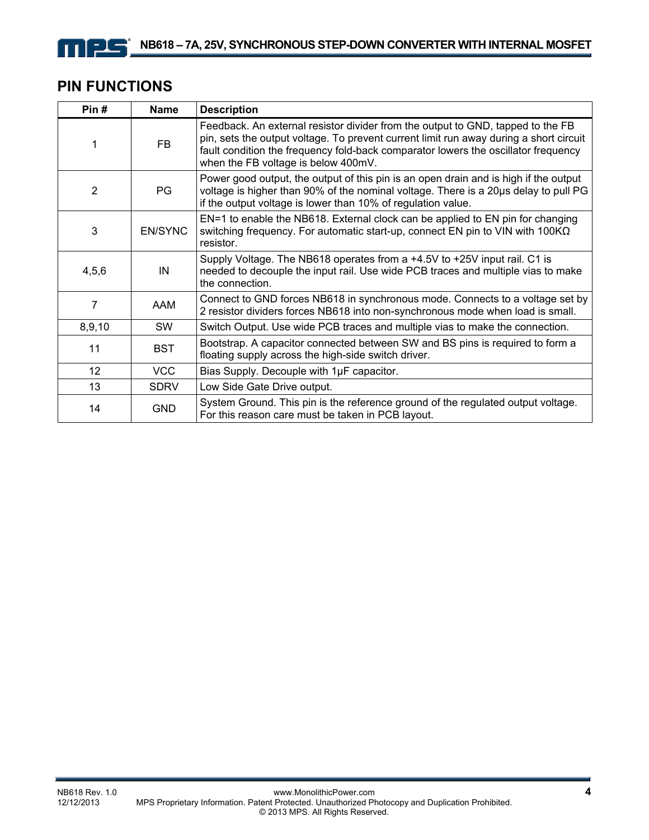# **PIN FUNCTIONS**

mes

| Pin#            | Name           | <b>Description</b>                                                                                                                                                                                                                                                                                     |
|-----------------|----------------|--------------------------------------------------------------------------------------------------------------------------------------------------------------------------------------------------------------------------------------------------------------------------------------------------------|
|                 | <b>FB</b>      | Feedback. An external resistor divider from the output to GND, tapped to the FB<br>pin, sets the output voltage. To prevent current limit run away during a short circuit<br>fault condition the frequency fold-back comparator lowers the oscillator frequency<br>when the FB voltage is below 400mV. |
| $\overline{2}$  | PG             | Power good output, the output of this pin is an open drain and is high if the output<br>voltage is higher than 90% of the nominal voltage. There is a 20us delay to pull PG<br>if the output voltage is lower than 10% of regulation value.                                                            |
| 3               | <b>EN/SYNC</b> | EN=1 to enable the NB618. External clock can be applied to EN pin for changing<br>switching frequency. For automatic start-up, connect EN pin to VIN with $100K\Omega$<br>resistor.                                                                                                                    |
| 4,5,6           | IN             | Supply Voltage. The NB618 operates from a +4.5V to +25V input rail. C1 is<br>needed to decouple the input rail. Use wide PCB traces and multiple vias to make<br>the connection.                                                                                                                       |
| 7               | AAM            | Connect to GND forces NB618 in synchronous mode. Connects to a voltage set by<br>2 resistor dividers forces NB618 into non-synchronous mode when load is small.                                                                                                                                        |
| 8,9,10          | <b>SW</b>      | Switch Output. Use wide PCB traces and multiple vias to make the connection.                                                                                                                                                                                                                           |
| 11              | <b>BST</b>     | Bootstrap. A capacitor connected between SW and BS pins is required to form a<br>floating supply across the high-side switch driver.                                                                                                                                                                   |
| 12 <sup>°</sup> | <b>VCC</b>     | Bias Supply. Decouple with 1µF capacitor.                                                                                                                                                                                                                                                              |
| 13              | <b>SDRV</b>    | Low Side Gate Drive output.                                                                                                                                                                                                                                                                            |
| 14              | <b>GND</b>     | System Ground. This pin is the reference ground of the regulated output voltage.<br>For this reason care must be taken in PCB layout.                                                                                                                                                                  |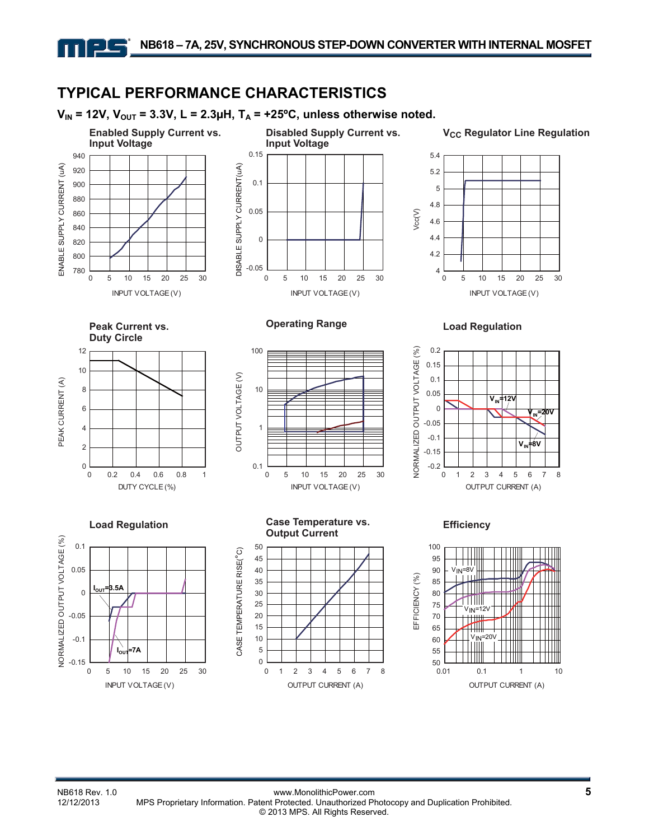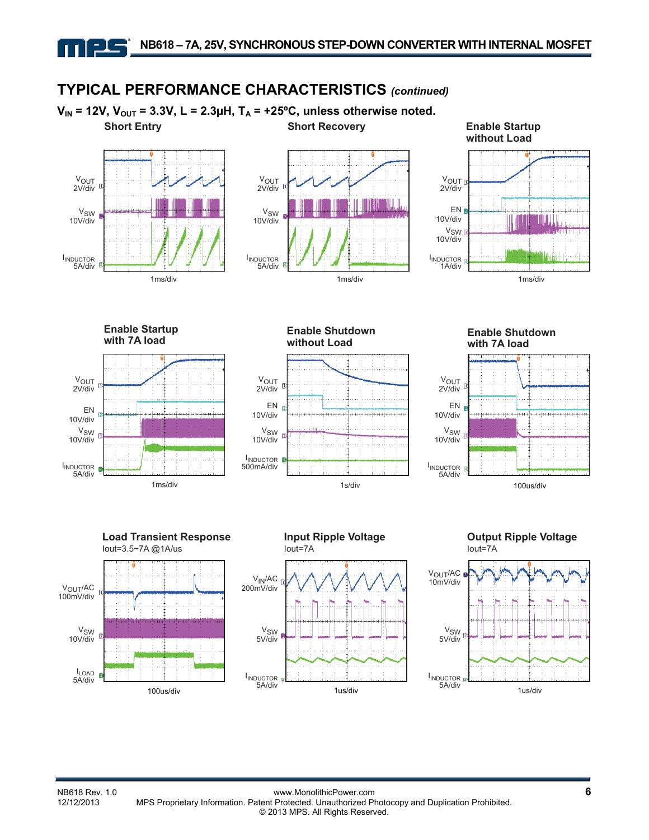# **TYPICAL PERFORMANCE CHARACTERISTICS** *(continued)*

V<sub>IN</sub> = 12V, V<sub>OUT</sub> = 3.3V, L = 2.3µH, T<sub>A</sub> = +25°C, unless otherwise noted. **Short Entry Communist Communist Short Recovery Communist Communist Communist Communist Communist Communist Communist Communist Communist Communist Communist Communist Communist Communist Communist Communist Communist Comm** 







**Enable Startup with 7A load** 







**Enable Shutdown with 7A load** 









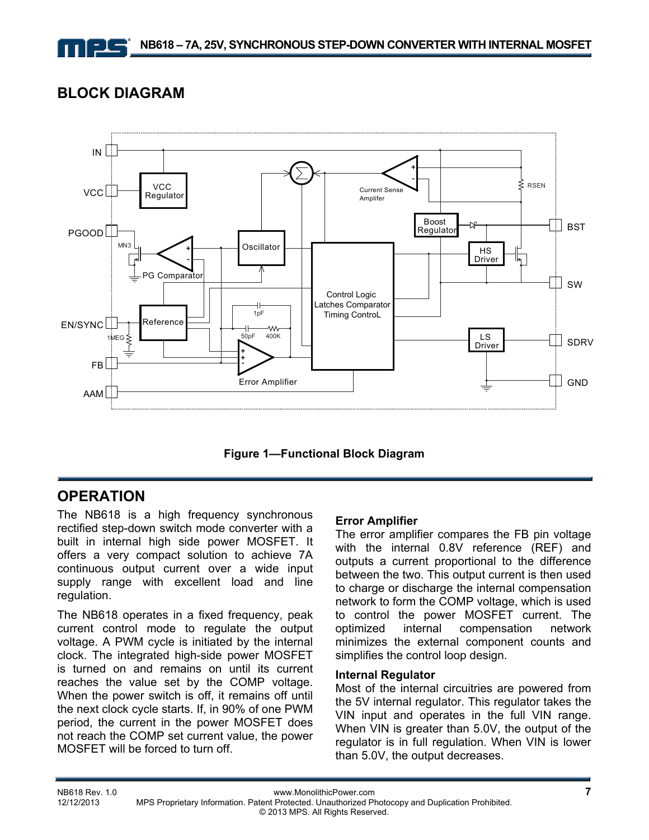# **BLOCK DIAGRAM**



**Figure 1—Functional Block Diagram** 

# **OPERATION**

The NB618 is a high frequency synchronous rectified step-down switch mode converter with a built in internal high side power MOSFET. It offers a very compact solution to achieve 7A continuous output current over a wide input supply range with excellent load and line regulation.

The NB618 operates in a fixed frequency, peak current control mode to regulate the output voltage. A PWM cycle is initiated by the internal clock. The integrated high-side power MOSFET is turned on and remains on until its current reaches the value set by the COMP voltage. When the power switch is off, it remains off until the next clock cycle starts. If, in 90% of one PWM period, the current in the power MOSFET does not reach the COMP set current value, the power MOSFET will be forced to turn off.

#### **Error Amplifier**

The error amplifier compares the FB pin voltage with the internal 0.8V reference (REF) and outputs a current proportional to the difference between the two. This output current is then used to charge or discharge the internal compensation network to form the COMP voltage, which is used to control the power MOSFET current. The optimized internal compensation network minimizes the external component counts and simplifies the control loop design.

#### **Internal Regulator**

Most of the internal circuitries are powered from the 5V internal regulator. This regulator takes the VIN input and operates in the full VIN range. When VIN is greater than 5.0V, the output of the regulator is in full regulation. When VIN is lower than 5.0V, the output decreases.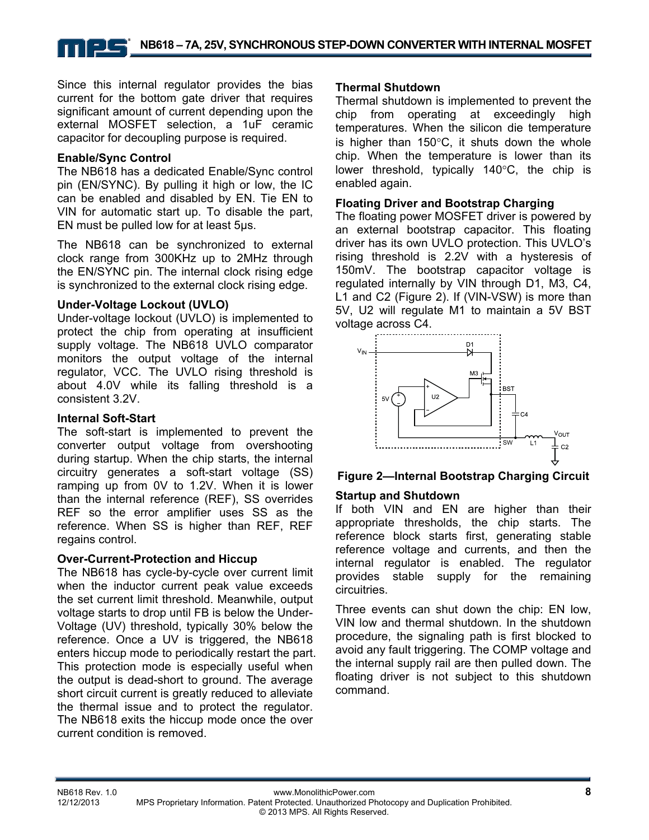Since this internal regulator provides the bias current for the bottom gate driver that requires significant amount of current depending upon the external MOSFET selection, a 1uF ceramic capacitor for decoupling purpose is required.

#### **Enable/Sync Control**

The NB618 has a dedicated Enable/Sync control pin (EN/SYNC). By pulling it high or low, the IC can be enabled and disabled by EN. Tie EN to VIN for automatic start up. To disable the part, EN must be pulled low for at least 5µs.

The NB618 can be synchronized to external clock range from 300KHz up to 2MHz through the EN/SYNC pin. The internal clock rising edge is synchronized to the external clock rising edge.

#### **Under-Voltage Lockout (UVLO)**

Under-voltage lockout (UVLO) is implemented to protect the chip from operating at insufficient supply voltage. The NB618 UVLO comparator monitors the output voltage of the internal regulator, VCC. The UVLO rising threshold is about 4.0V while its falling threshold is a consistent 3.2V.

#### **Internal Soft-Start**

The soft-start is implemented to prevent the converter output voltage from overshooting during startup. When the chip starts, the internal circuitry generates a soft-start voltage (SS) ramping up from 0V to 1.2V. When it is lower than the internal reference (REF), SS overrides REF so the error amplifier uses SS as the reference. When SS is higher than REF, REF regains control.

#### **Over-Current-Protection and Hiccup**

The NB618 has cycle-by-cycle over current limit when the inductor current peak value exceeds the set current limit threshold. Meanwhile, output voltage starts to drop until FB is below the Under-Voltage (UV) threshold, typically 30% below the reference. Once a UV is triggered, the NB618 enters hiccup mode to periodically restart the part. This protection mode is especially useful when the output is dead-short to ground. The average short circuit current is greatly reduced to alleviate the thermal issue and to protect the regulator. The NB618 exits the hiccup mode once the over current condition is removed.

#### **Thermal Shutdown**

Thermal shutdown is implemented to prevent the chip from operating at exceedingly high temperatures. When the silicon die temperature is higher than 150°C, it shuts down the whole chip. When the temperature is lower than its lower threshold, typically 140°C, the chip is enabled again.

#### **Floating Driver and Bootstrap Charging**

The floating power MOSFET driver is powered by an external bootstrap capacitor. This floating driver has its own UVLO protection. This UVLO's rising threshold is 2.2V with a hysteresis of 150mV. The bootstrap capacitor voltage is regulated internally by VIN through D1, M3, C4, L1 and C2 (Figure 2). If (VIN-VSW) is more than 5V, U2 will regulate M1 to maintain a 5V BST voltage across C4.



#### **Figure 2—Internal Bootstrap Charging Circuit**

#### **Startup and Shutdown**

If both VIN and EN are higher than their appropriate thresholds, the chip starts. The reference block starts first, generating stable reference voltage and currents, and then the internal regulator is enabled. The regulator provides stable supply for the remaining circuitries.

Three events can shut down the chip: EN low, VIN low and thermal shutdown. In the shutdown procedure, the signaling path is first blocked to avoid any fault triggering. The COMP voltage and the internal supply rail are then pulled down. The floating driver is not subject to this shutdown command.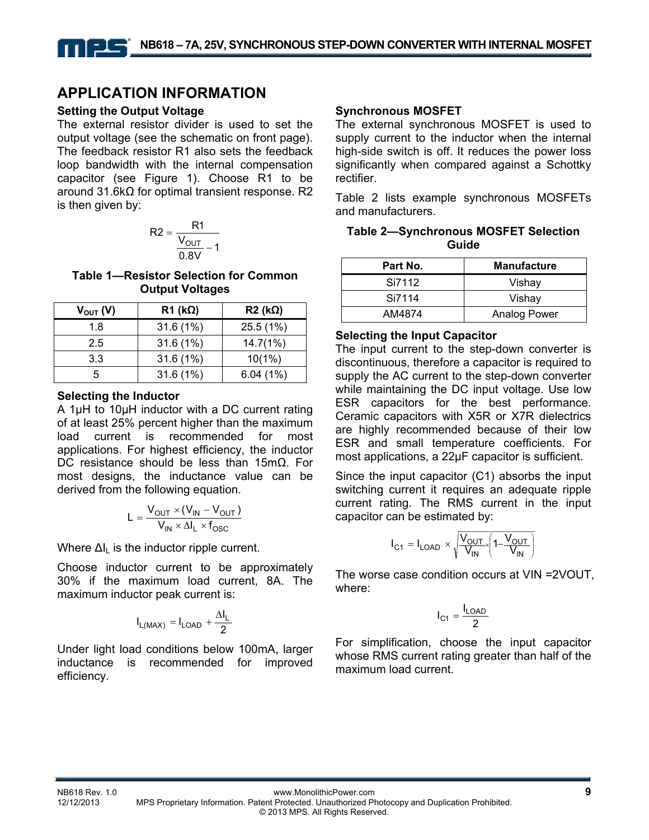# **APPLICATION INFORMATION**

#### **Setting the Output Voltage**

The external resistor divider is used to set the output voltage (see the schematic on front page). The feedback resistor R1 also sets the feedback loop bandwidth with the internal compensation capacitor (see Figure 1). Choose R1 to be around 31.6kΩ for optimal transient response. R2 is then given by:

$$
R2 = \frac{R1}{\frac{V_{OUT}}{0.8V} - 1}
$$

**Table 1—Resistor Selection for Common Output Voltages** 

| $V_{\text{OUT}}(V)$ | $R1$ (k $\Omega$ ) | $R2$ (kΩ) |
|---------------------|--------------------|-----------|
| 1.8                 | 31.6(1%)           | 25.5(1%)  |
| 2.5                 | 31.6(1%)           | 14.7(1%)  |
| 3.3                 | 31.6(1%)           | $10(1\%)$ |
| 5                   | 31.6(1%)           | 6.04(1%)  |

#### **Selecting the Inductor**

A 1µH to 10µH inductor with a DC current rating of at least 25% percent higher than the maximum load current is recommended for most applications. For highest efficiency, the inductor DC resistance should be less than 15mΩ. For most designs, the inductance value can be derived from the following equation.

$$
L = \frac{V_{OUT} \times (V_{IN} - V_{OUT})}{V_{IN} \times \Delta I_L \times f_{OSC}}
$$

Where  $\Delta I_L$  is the inductor ripple current.

Choose inductor current to be approximately 30% if the maximum load current, 8A. The maximum inductor peak current is:

$$
I_{L(MAX)}=I_{LOAD}+\frac{\Delta I_L}{2}
$$

Under light load conditions below 100mA, larger inductance is recommended for improved efficiency.

#### **Synchronous MOSFET**

The external synchronous MOSFET is used to supply current to the inductor when the internal high-side switch is off. It reduces the power loss significantly when compared against a Schottky rectifier.

Table 2 lists example synchronous MOSFETs and manufacturers.

| <b>Table 2-Synchronous MOSFET Selection</b> |
|---------------------------------------------|
| Guide                                       |

| Part No. | <b>Manufacture</b> |
|----------|--------------------|
| Si7112   | Vishay             |
| Si7114   | Vishay             |
| AM4874   | Analog Power       |

#### **Selecting the Input Capacitor**

The input current to the step-down converter is discontinuous, therefore a capacitor is required to supply the AC current to the step-down converter while maintaining the DC input voltage. Use low ESR capacitors for the best performance. Ceramic capacitors with X5R or X7R dielectrics are highly recommended because of their low ESR and small temperature coefficients. For most applications, a 22µF capacitor is sufficient.

Since the input capacitor (C1) absorbs the input switching current it requires an adequate ripple current rating. The RMS current in the input capacitor can be estimated by:

$$
I_{C1} = I_{LOAD} \times \sqrt{\frac{V_{OUT}}{V_{IN}} \left(1 - \frac{V_{OUT}}{V_{IN}}\right)}
$$

The worse case condition occurs at VIN =2VOUT, where:

$$
I_{C1} = \frac{I_{LOAD}}{2}
$$

For simplification, choose the input capacitor whose RMS current rating greater than half of the maximum load current.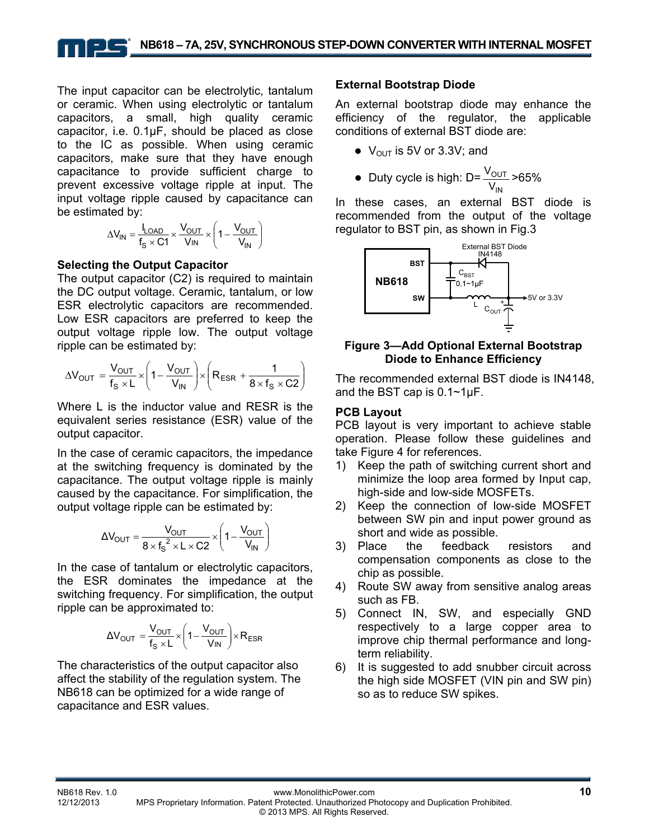The input capacitor can be electrolytic, tantalum or ceramic. When using electrolytic or tantalum capacitors, a small, high quality ceramic capacitor, i.e. 0.1μF, should be placed as close to the IC as possible. When using ceramic capacitors, make sure that they have enough capacitance to provide sufficient charge to prevent excessive voltage ripple at input. The input voltage ripple caused by capacitance can be estimated by:

$$
\Delta V_{IN} = \frac{I_{LOAD}}{f_S \times C1} \times \frac{V_{OUT}}{V_{IN}} \times \left(1 - \frac{V_{OUT}}{V_{IN}}\right)
$$

#### **Selecting the Output Capacitor**

The output capacitor (C2) is required to maintain the DC output voltage. Ceramic, tantalum, or low ESR electrolytic capacitors are recommended. Low ESR capacitors are preferred to keep the output voltage ripple low. The output voltage ripple can be estimated by:

$$
\Delta V_{OUT} = \frac{V_{OUT}}{f_s \times L} \times \left(1 - \frac{V_{OUT}}{V_{IN}}\right) \times \left(R_{ESR} + \frac{1}{8 \times f_s \times C2}\right)
$$

Where L is the inductor value and RESR is the equivalent series resistance (ESR) value of the output capacitor.

In the case of ceramic capacitors, the impedance at the switching frequency is dominated by the capacitance. The output voltage ripple is mainly caused by the capacitance. For simplification, the output voltage ripple can be estimated by:

$$
\Delta V_{\text{OUT}} = \frac{V_{\text{OUT}}}{8 \times f_{\text{S}}^2 \times L \times C2} \times \left(1 - \frac{V_{\text{OUT}}}{V_{\text{IN}}}\right)
$$

In the case of tantalum or electrolytic capacitors, the ESR dominates the impedance at the switching frequency. For simplification, the output ripple can be approximated to:

$$
\Delta V_{OUT} = \frac{V_{OUT}}{f_S \times L} \times \left(1 - \frac{V_{OUT}}{V_{IN}}\right) \times R_{ESR}
$$

The characteristics of the output capacitor also affect the stability of the regulation system. The NB618 can be optimized for a wide range of capacitance and ESR values.

#### **External Bootstrap Diode**

An external bootstrap diode may enhance the efficiency of the regulator, the applicable conditions of external BST diode are:

- $\bullet\;V_{\text{OUT}}$  is 5V or 3.3V; and
- Duty cycle is high: D= IN OUT  $\frac{\rm V_{OUT}}{\rm V_{IN}}$  >65%

In these cases, an external BST diode is recommended from the output of the voltage regulator to BST pin, as shown in Fig.3



#### **Figure 3—Add Optional External Bootstrap Diode to Enhance Efficiency**

The recommended external BST diode is IN4148, and the BST cap is 0.1~1µF.

#### **PCB Layout**

PCB layout is very important to achieve stable operation. Please follow these guidelines and take Figure 4 for references.

- 1) Keep the path of switching current short and minimize the loop area formed by Input cap, high-side and low-side MOSFETs.
- 2) Keep the connection of low-side MOSFET between SW pin and input power ground as short and wide as possible.
- 3) Place the feedback resistors and compensation components as close to the chip as possible.
- 4) Route SW away from sensitive analog areas such as FB.
- 5) Connect IN, SW, and especially GND respectively to a large copper area to improve chip thermal performance and longterm reliability.
- 6) It is suggested to add snubber circuit across the high side MOSFET (VIN pin and SW pin) so as to reduce SW spikes.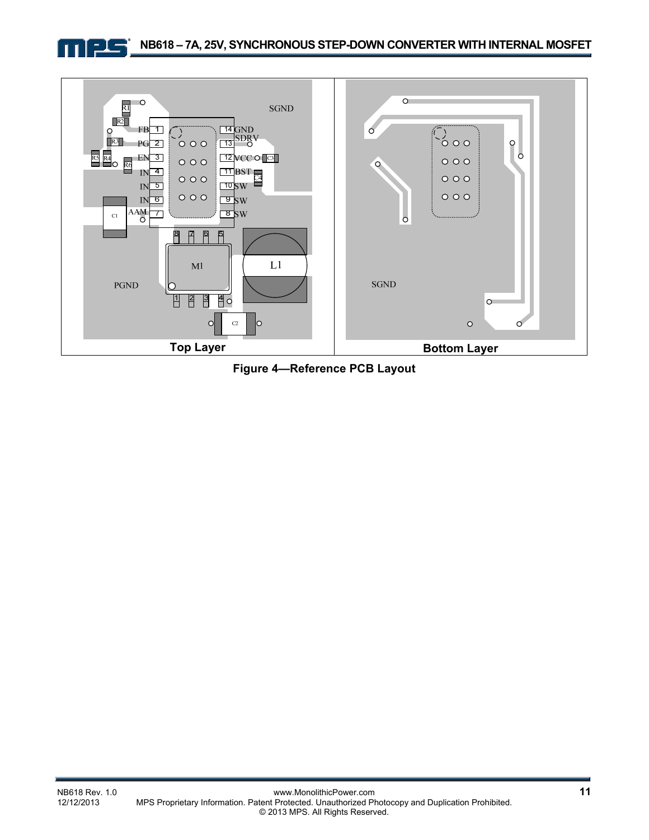



**Figure 4—Reference PCB Layout**